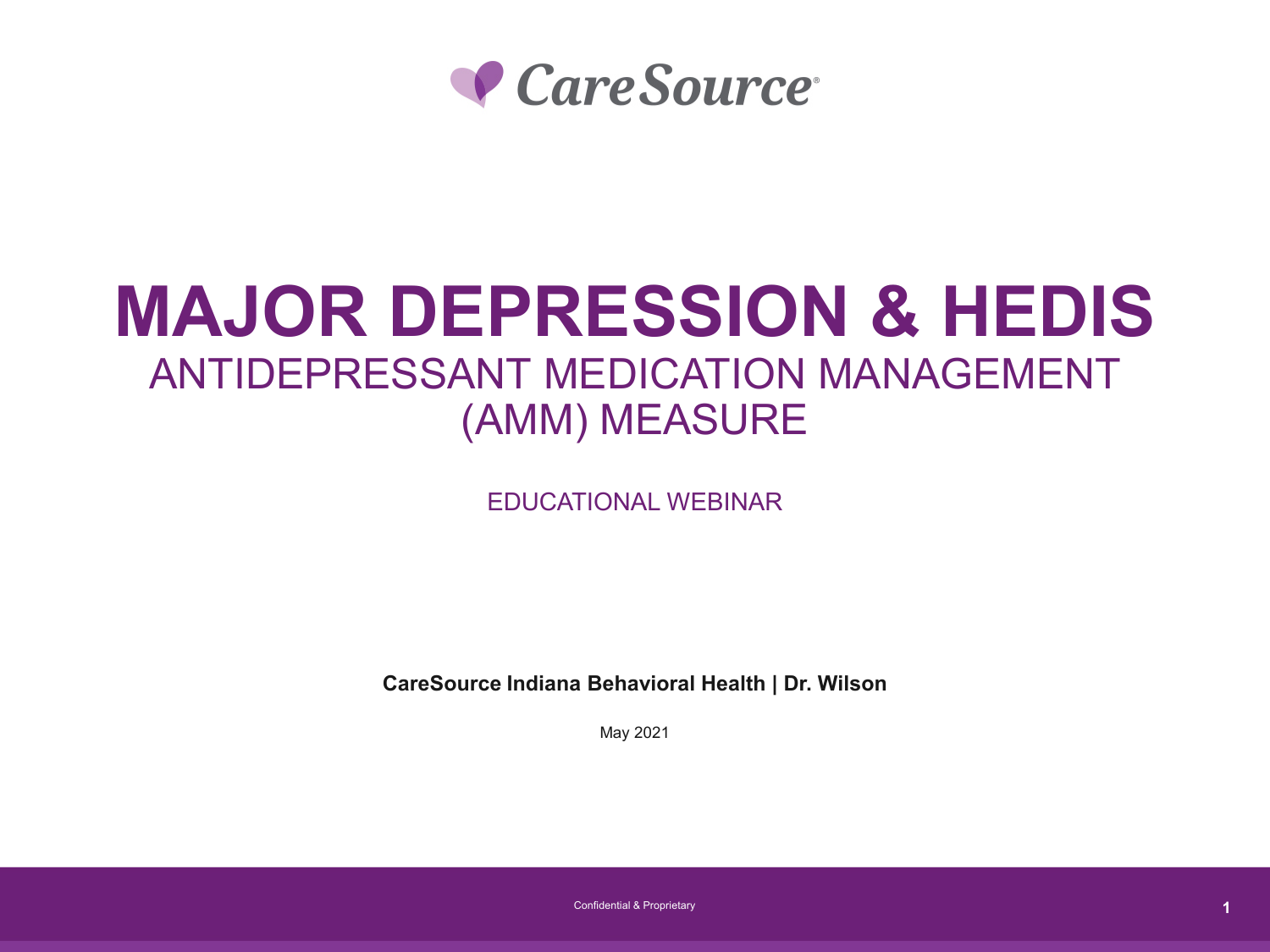

# **MAJOR DEPRESSION & HEDIS** ANTIDEPRESSANT MEDICATION MANAGEMENT (AMM) MEASURE

EDUCATIONAL WEBINAR

**CareSource Indiana Behavioral Health | Dr. Wilson** 

May 2021

Confidential & Proprietary **1**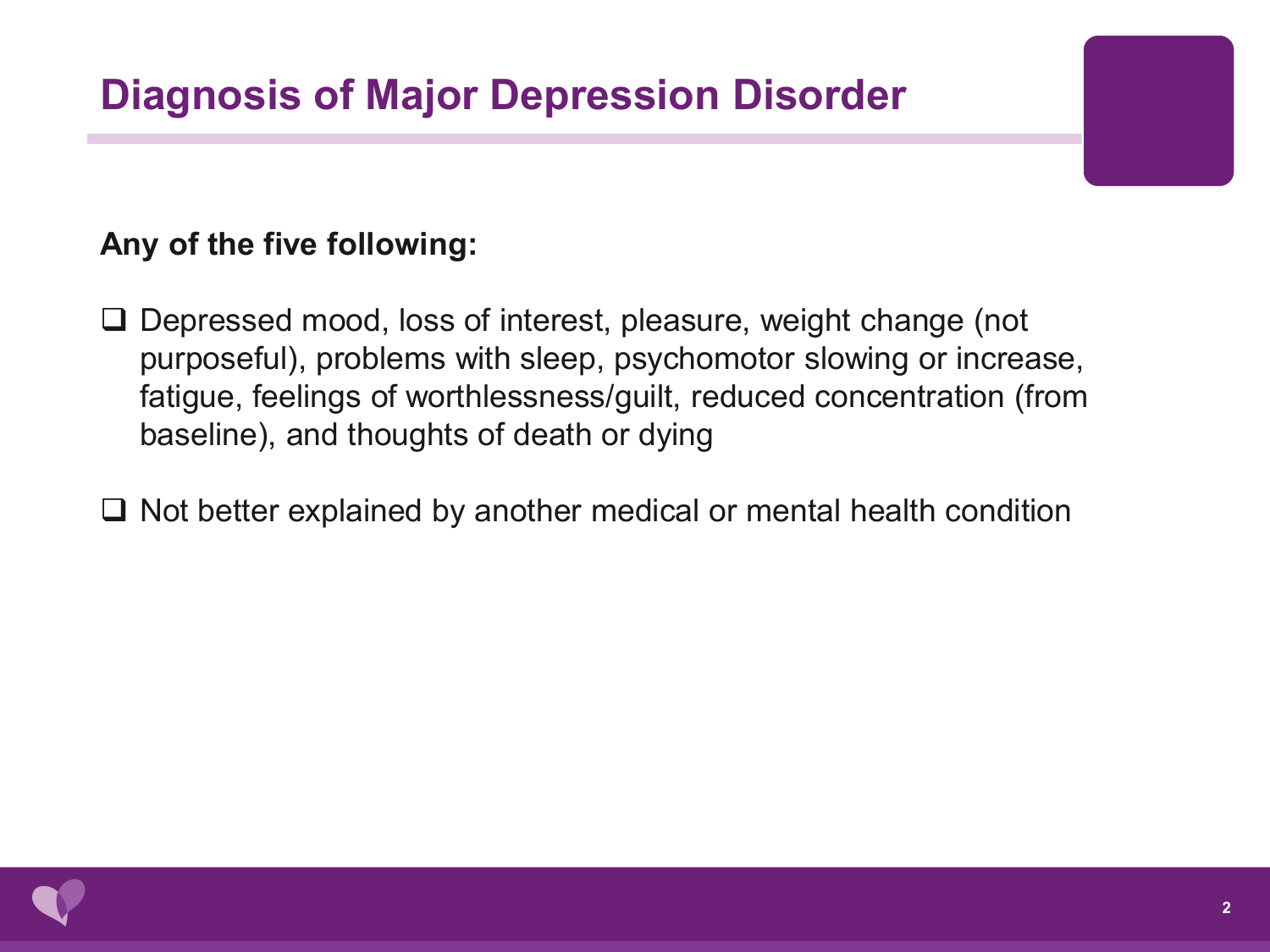#### **Any of the five following:**

- □ Depressed mood, loss of interest, pleasure, weight change (not purposeful), problems with sleep, psychomotor slowing or increase, fatigue, feelings of worthlessness/guilt, reduced concentration (from baseline), and thoughts of death or dying
- $\Box$  Not better explained by another medical or mental health condition

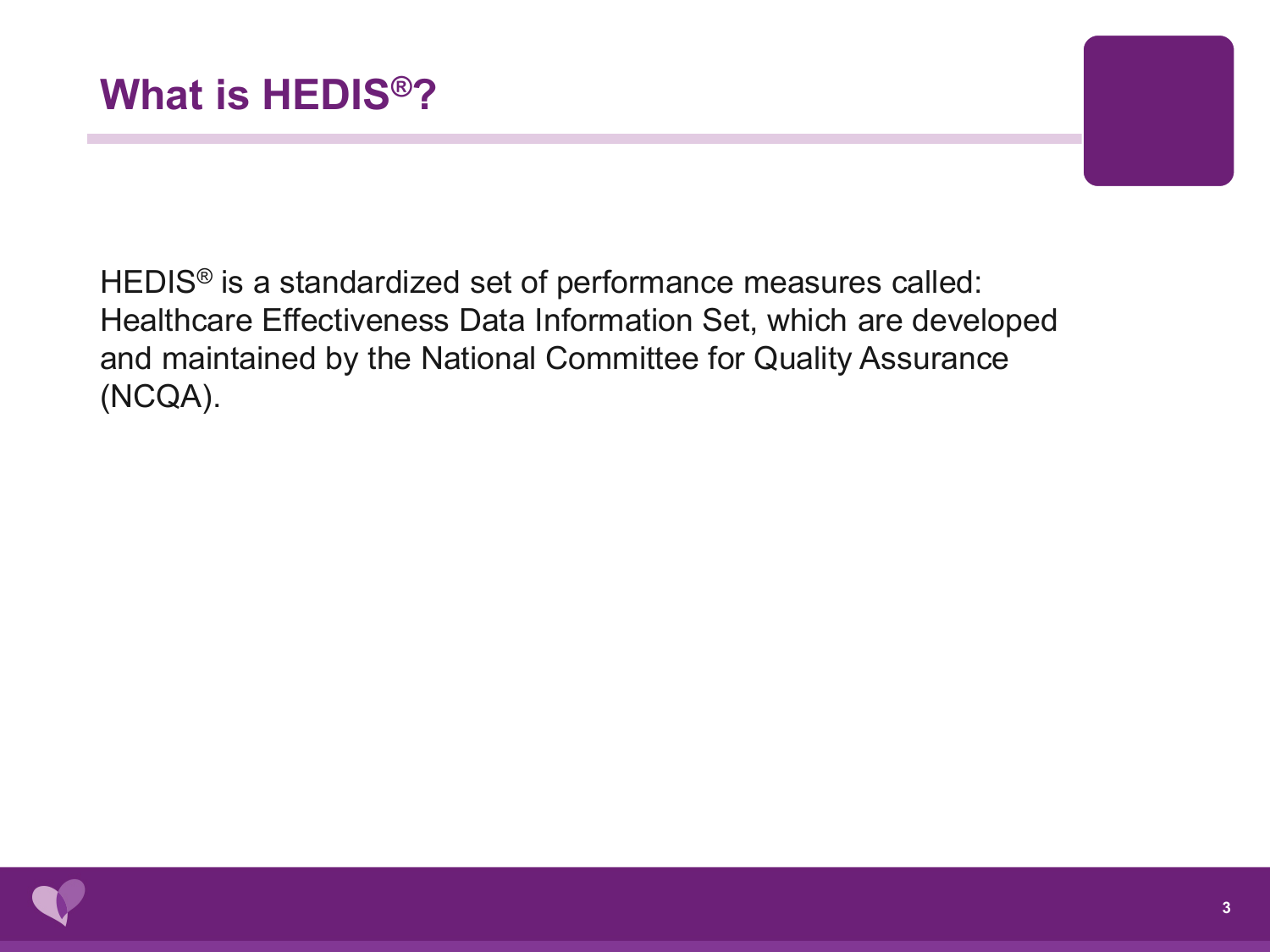HEDIS® is a standardized set of performance measures called: Healthcare Effectiveness Data Information Set, which are developed and maintained by the National Committee for Quality Assurance (NCQA).

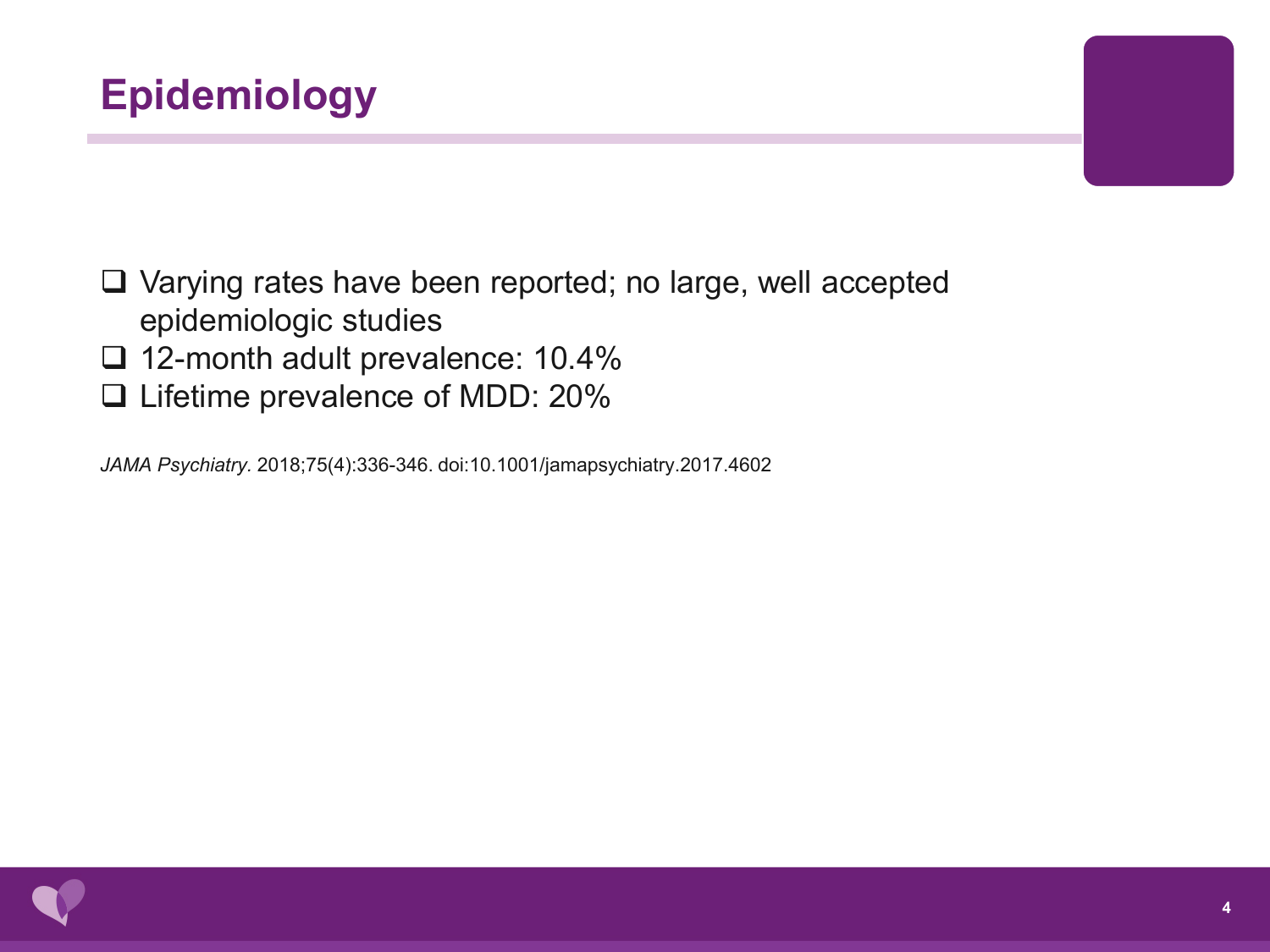

□ Varying rates have been reported; no large, well accepted epidemiologic studies

- □ 12-month adult prevalence: 10.4%
- □ Lifetime prevalence of MDD: 20%

*JAMA Psychiatry.* 2018;75(4):336-346. doi:10.1001/jamapsychiatry.2017.4602

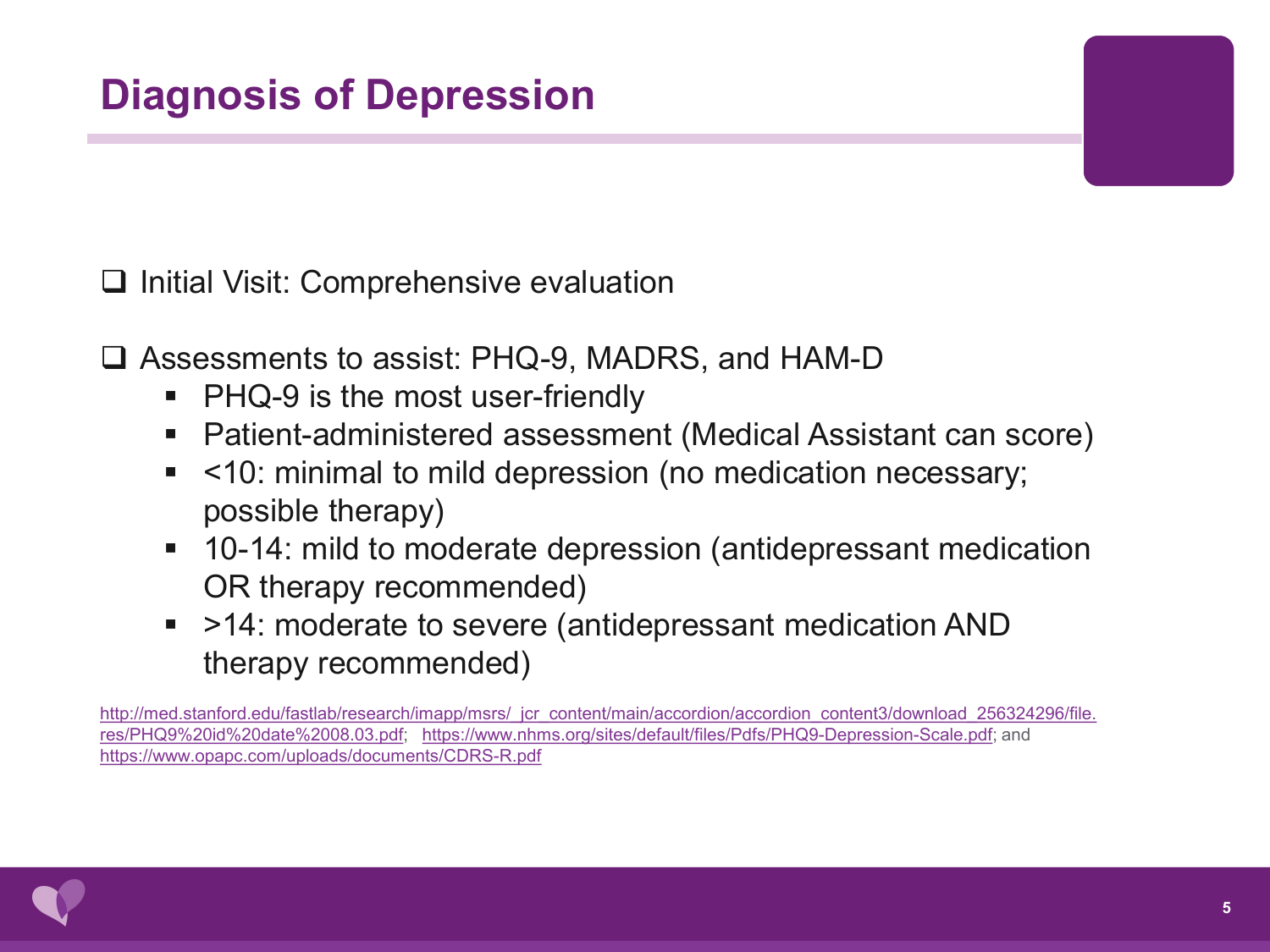$\Box$  Initial Visit: Comprehensive evaluation

Assessments to assist: PHQ-9, MADRS, and HAM-D

- PHQ-9 is the most user-friendly
- Patient-administered assessment (Medical Assistant can score)
- <10: minimal to mild depression (no medication necessary; possible therapy)
- 10-14: mild to moderate depression (antidepressant medication OR therapy recommended)
- >14: moderate to severe (antidepressant medication AND therapy recommended)

[http://med.stanford.edu/fastlab/research/imapp/msrs/\\_jcr\\_content/main/accordion/accordion\\_content3/download\\_256324296/file.](http://med.stanford.edu/fastlab/research/imapp/msrs/_jcr_content/main/accordion/accordion_content3/download_256324296/file.res/PHQ9%20id%20date%2008.03.pdf) res/PHQ9%20id%20date%2008.03.pdf; [https://www.nhms.org/sites/default/files/Pdfs/PHQ9-Depression-Scale.pdf;](https://www.nhms.org/sites/default/files/Pdfs/PHQ9-Depression-Scale.pdf) and <https://www.opapc.com/uploads/documents/CDRS-R.pdf>

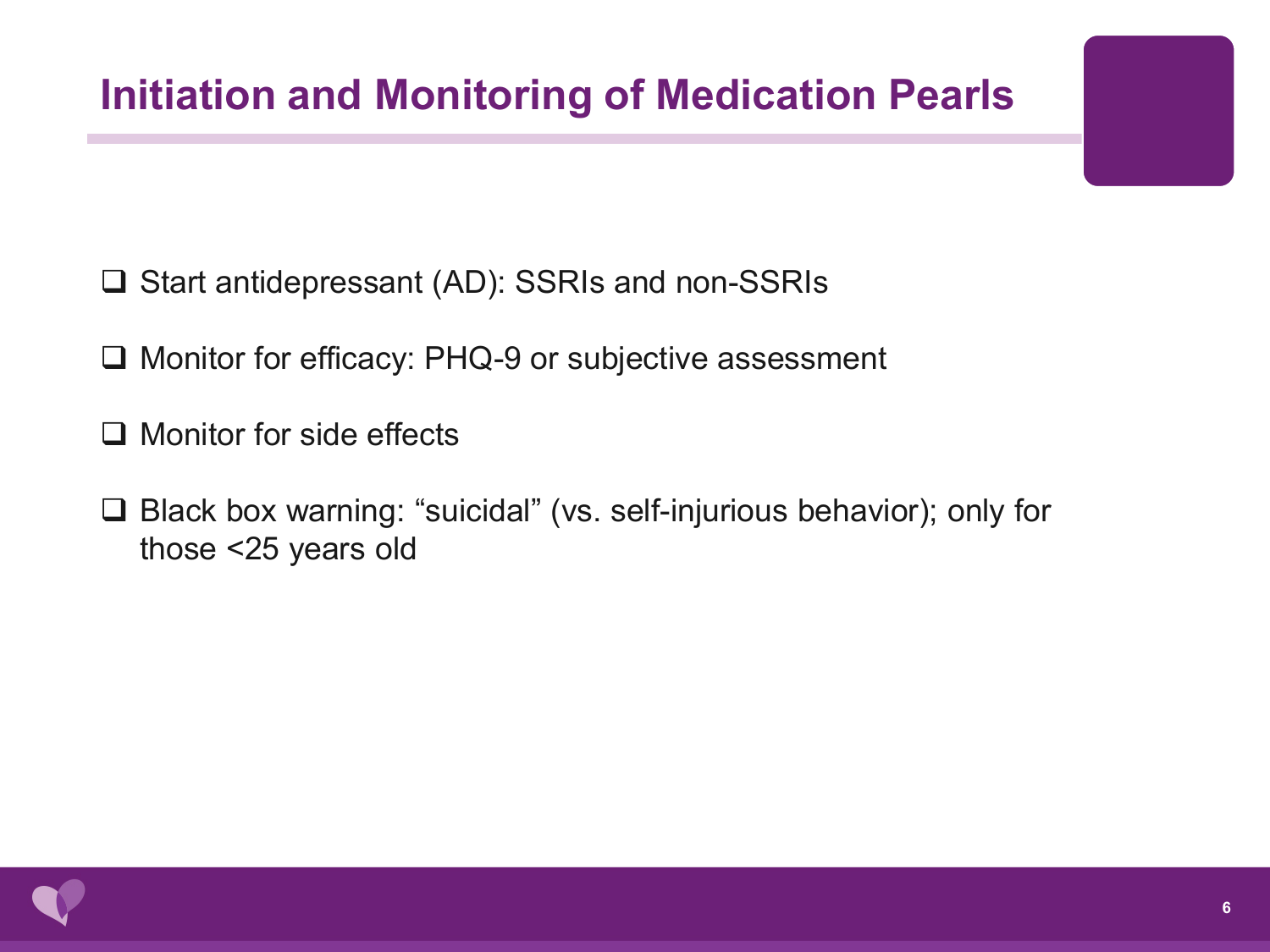## **Initiation and Monitoring of Medication Pearls**

- **□ Start antidepressant (AD): SSRIs and non-SSRIs**
- □ Monitor for efficacy: PHQ-9 or subjective assessment
- $\Box$  Monitor for side effects
- Black box warning: "suicidal" (vs. self-injurious behavior); only for those <25 years old

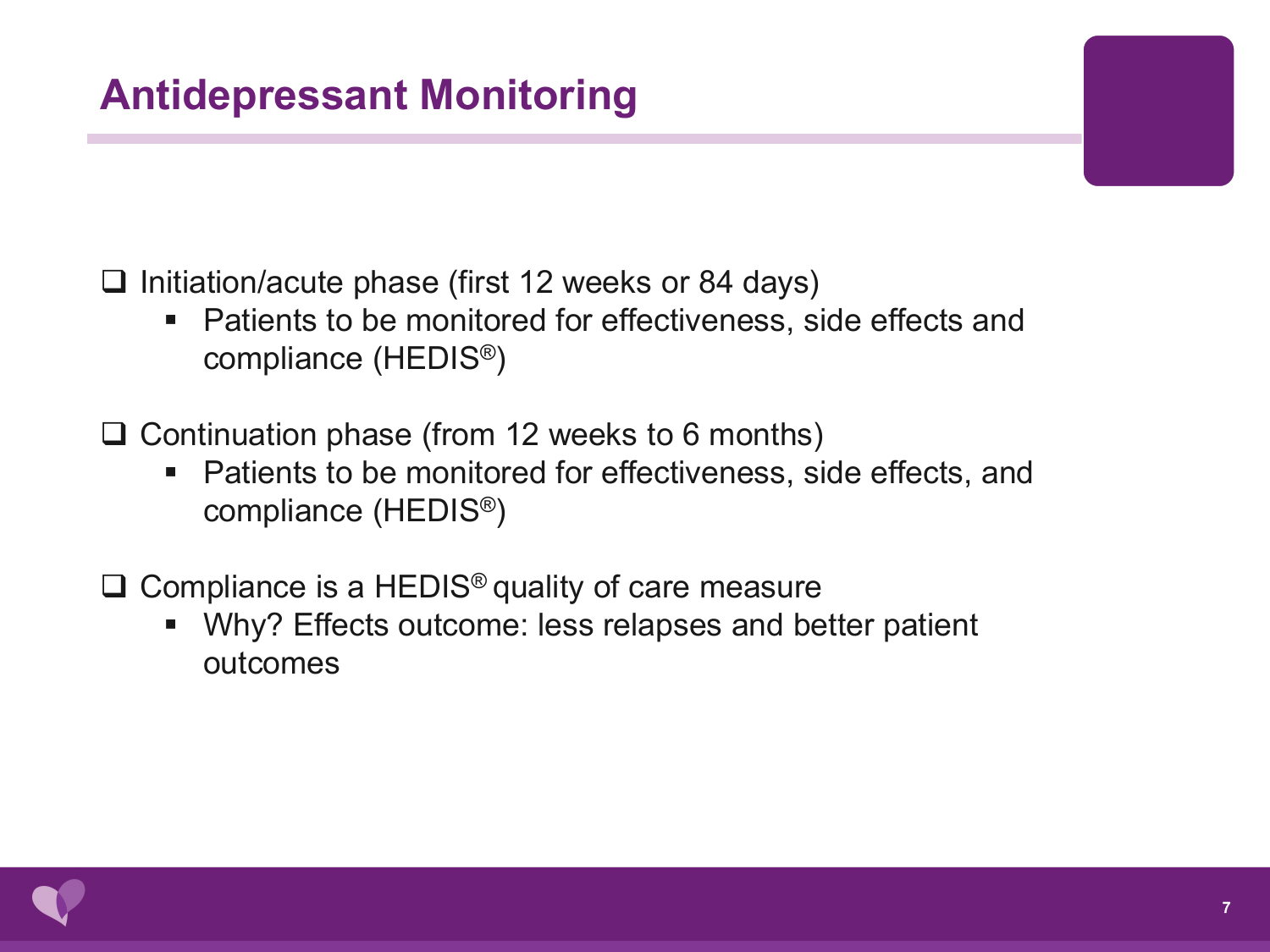## **Antidepressant Monitoring**

 $\Box$  Initiation/acute phase (first 12 weeks or 84 days)

■ Patients to be monitored for effectiveness, side effects and compliance (HEDIS®)

 $\Box$  Continuation phase (from 12 weeks to 6 months)

■ Patients to be monitored for effectiveness, side effects, and compliance (HEDIS®)

 $\Box$  Compliance is a HEDIS<sup>®</sup> quality of care measure

 Why? Effects outcome: less relapses and better patient outcomes

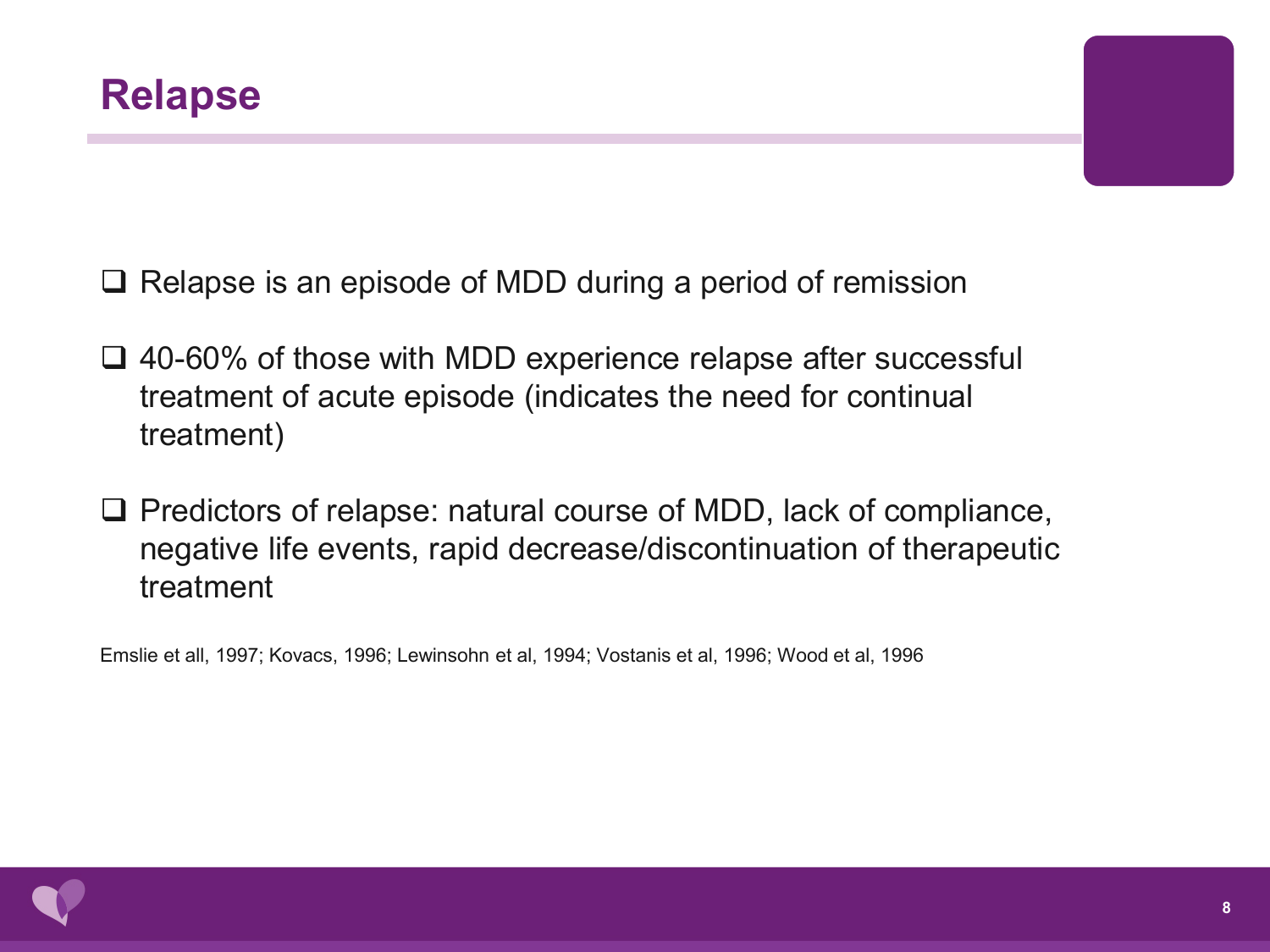$\Box$  Relapse is an episode of MDD during a period of remission

- **□ 40-60% of those with MDD experience relapse after successful** treatment of acute episode (indicates the need for continual treatment)
- $\Box$  Predictors of relapse: natural course of MDD, lack of compliance, negative life events, rapid decrease/discontinuation of therapeutic treatment

Emslie et all, 1997; Kovacs, 1996; Lewinsohn et al, 1994; Vostanis et al, 1996; Wood et al, 1996

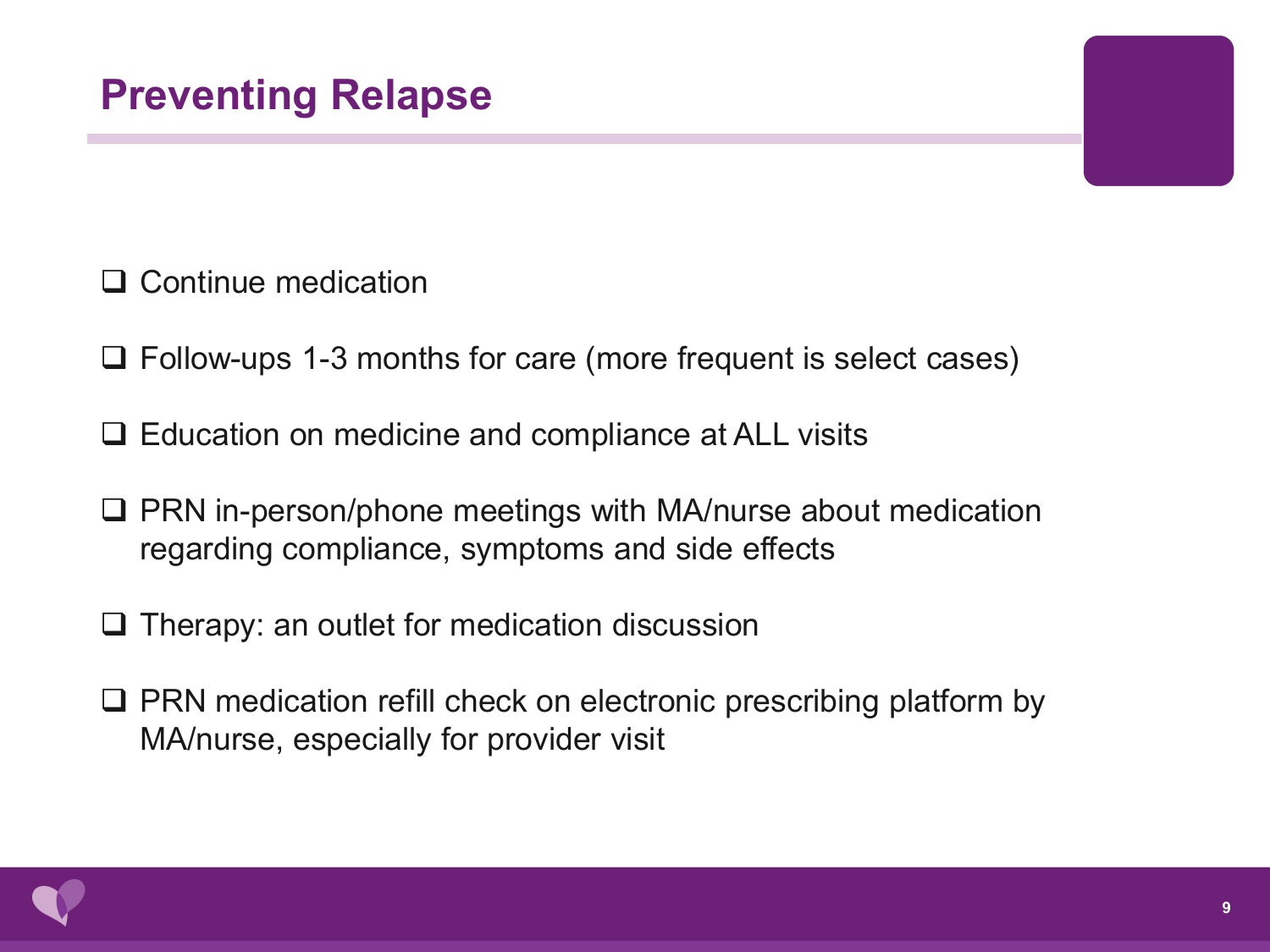□ Continue medication

- $\Box$  Follow-ups 1-3 months for care (more frequent is select cases)
- $\Box$  Education on medicine and compliance at ALL visits
- $\Box$  PRN in-person/phone meetings with MA/nurse about medication regarding compliance, symptoms and side effects
- $\Box$  Therapy: an outlet for medication discussion
- $\Box$  PRN medication refill check on electronic prescribing platform by MA/nurse, especially for provider visit

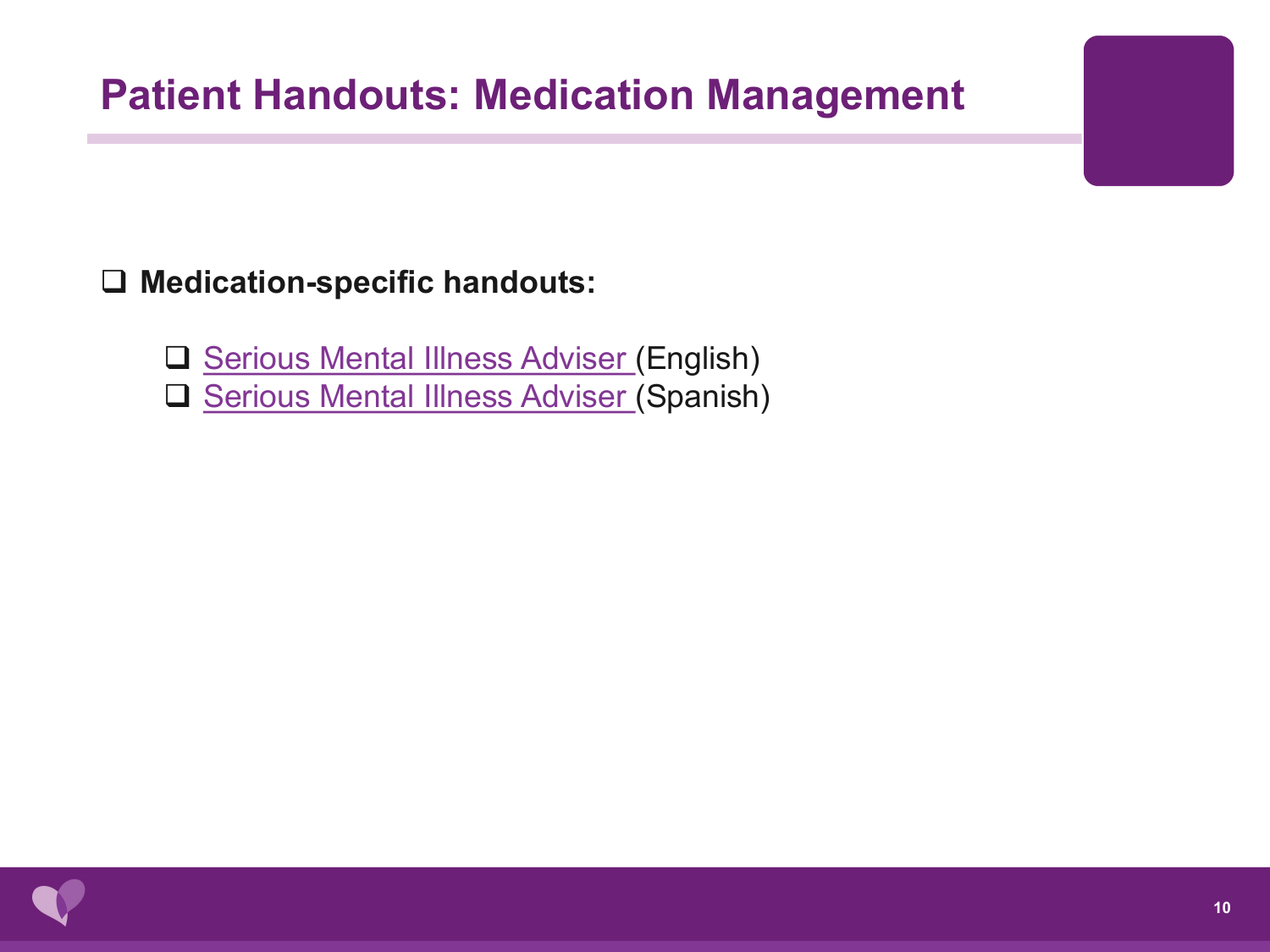## **Patient Handouts: Medication Management**

#### **Medication-specific handouts:**

[Serious Mental Illness Adviser](https://smiadviser.org/knowledge_post/antidepressants-medication-fact-sheets) (English)

**□ [Serious Mental Illness Adviser](https://smiadviser.org/knowledge_post/antidepressants-medication-fact-sheets-spanish-version) (Spanish)**